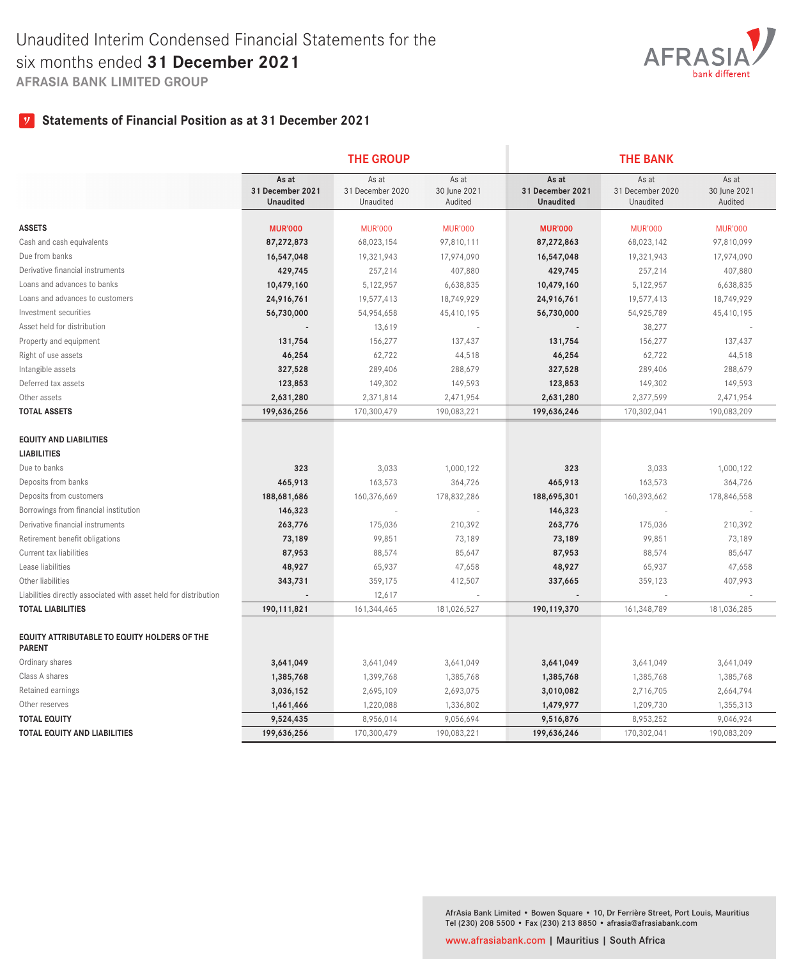

# **Statements of Financial Position as at 31 December 2021**

|                                                                      |                                               | <b>THE GROUP</b>                       |                                  | <b>THE BANK</b>                               |                                        |                                  |  |  |
|----------------------------------------------------------------------|-----------------------------------------------|----------------------------------------|----------------------------------|-----------------------------------------------|----------------------------------------|----------------------------------|--|--|
|                                                                      | As at<br>31 December 2021<br><b>Unaudited</b> | As at<br>31 December 2020<br>Unaudited | As at<br>30 June 2021<br>Audited | As at<br>31 December 2021<br><b>Unaudited</b> | As at<br>31 December 2020<br>Unaudited | As at<br>30 June 2021<br>Audited |  |  |
|                                                                      |                                               |                                        |                                  |                                               |                                        |                                  |  |  |
| <b>ASSETS</b>                                                        | <b>MUR'000</b>                                | <b>MUR'000</b>                         | <b>MUR'000</b>                   | <b>MUR'000</b>                                | <b>MUR'000</b>                         | <b>MUR'000</b>                   |  |  |
| Cash and cash equivalents                                            | 87,272,873                                    | 68,023,154                             | 97,810,111                       | 87,272,863                                    | 68,023,142                             | 97,810,099                       |  |  |
| Due from banks                                                       | 16,547,048                                    | 19,321,943                             | 17,974,090                       | 16,547,048                                    | 19,321,943                             | 17,974,090                       |  |  |
| Derivative financial instruments                                     | 429,745                                       | 257,214                                | 407,880                          | 429,745                                       | 257,214                                | 407,880                          |  |  |
| Loans and advances to banks                                          | 10,479,160                                    | 5,122,957                              | 6,638,835                        | 10,479,160                                    | 5,122,957                              | 6,638,835                        |  |  |
| Loans and advances to customers                                      | 24,916,761                                    | 19,577,413                             | 18,749,929                       | 24,916,761                                    | 19,577,413                             | 18,749,929                       |  |  |
| Investment securities                                                | 56,730,000                                    | 54,954,658                             | 45,410,195                       | 56,730,000                                    | 54,925,789                             | 45,410,195                       |  |  |
| Asset held for distribution                                          |                                               | 13,619                                 |                                  |                                               | 38,277                                 |                                  |  |  |
| Property and equipment                                               | 131,754                                       | 156,277                                | 137,437                          | 131,754                                       | 156,277                                | 137,437                          |  |  |
| Right of use assets                                                  | 46,254                                        | 62,722                                 | 44,518                           | 46,254                                        | 62,722                                 | 44,518                           |  |  |
| Intangible assets                                                    | 327,528                                       | 289,406                                | 288,679                          | 327,528                                       | 289,406                                | 288,679                          |  |  |
| Deferred tax assets                                                  | 123,853                                       | 149,302                                | 149,593                          | 123,853                                       | 149,302                                | 149,593                          |  |  |
| Other assets                                                         | 2,631,280                                     | 2,371,814                              | 2,471,954                        | 2,631,280                                     | 2,377,599                              | 2,471,954                        |  |  |
| <b>TOTAL ASSETS</b>                                                  | 199,636,256                                   | 170,300,479                            | 190,083,221                      | 199,636,246                                   | 170,302,041                            | 190,083,209                      |  |  |
| <b>EQUITY AND LIABILITIES</b>                                        |                                               |                                        |                                  |                                               |                                        |                                  |  |  |
| <b>LIABILITIES</b>                                                   |                                               |                                        |                                  |                                               |                                        |                                  |  |  |
| Due to banks                                                         | 323                                           | 3,033                                  | 1,000,122                        | 323                                           | 3,033                                  | 1,000,122                        |  |  |
| Deposits from banks                                                  | 465,913                                       | 163,573                                | 364,726                          | 465,913                                       | 163,573                                | 364,726                          |  |  |
| Deposits from customers                                              | 188,681,686                                   | 160,376,669                            | 178,832,286                      | 188,695,301                                   | 160,393,662                            | 178,846,558                      |  |  |
| Borrowings from financial institution                                | 146,323                                       |                                        |                                  | 146,323                                       |                                        |                                  |  |  |
| Derivative financial instruments                                     | 263,776                                       | 175,036                                | 210,392                          | 263,776                                       | 175,036                                | 210,392                          |  |  |
| Retirement benefit obligations                                       | 73,189                                        | 99,851                                 | 73,189                           | 73,189                                        | 99,851                                 | 73,189                           |  |  |
| Current tax liabilities                                              | 87,953                                        | 88,574                                 | 85,647                           | 87,953                                        | 88,574                                 | 85,647                           |  |  |
| Lease liabilities                                                    | 48,927                                        | 65,937                                 | 47,658                           | 48,927                                        | 65,937                                 | 47,658                           |  |  |
| Other liabilities                                                    | 343,731                                       | 359,175                                | 412,507                          | 337,665                                       | 359,123                                | 407,993                          |  |  |
| Liabilities directly associated with asset held for distribution     |                                               | 12,617                                 |                                  |                                               |                                        |                                  |  |  |
| <b>TOTAL LIABILITIES</b>                                             | 190, 111, 821                                 | 161,344,465                            | 181,026,527                      | 190,119,370                                   | 161,348,789                            | 181,036,285                      |  |  |
| <b>EQUITY ATTRIBUTABLE TO EQUITY HOLDERS OF THE</b><br><b>PARENT</b> |                                               |                                        |                                  |                                               |                                        |                                  |  |  |
| Ordinary shares                                                      | 3,641,049                                     | 3,641,049                              | 3,641,049                        | 3,641,049                                     | 3,641,049                              | 3,641,049                        |  |  |
| Class A shares                                                       | 1,385,768                                     | 1,399,768                              | 1,385,768                        | 1,385,768                                     | 1,385,768                              | 1,385,768                        |  |  |
| Retained earnings                                                    | 3,036,152                                     | 2,695,109                              | 2,693,075                        | 3,010,082                                     | 2,716,705                              | 2,664,794                        |  |  |
| Other reserves                                                       | 1,461,466                                     | 1,220,088                              | 1,336,802                        | 1,479,977                                     | 1,209,730                              | 1,355,313                        |  |  |
| <b>TOTAL EQUITY</b>                                                  | 9,524,435                                     | 8,956,014                              | 9,056,694                        | 9,516,876                                     | 8,953,252                              | 9,046,924                        |  |  |
| TOTAL EQUITY AND LIABILITIES                                         | 199,636,256                                   | 170,300,479                            | 190,083,221                      | 199,636,246                                   | 170,302,041                            | 190,083,209                      |  |  |

AfrAsia Bank Limited • Bowen Square • 10, Dr Ferrière Street, Port Louis, Mauritius Tel (230) 208 5500 • Fax (230) 213 8850 • afrasia@afrasiabank.com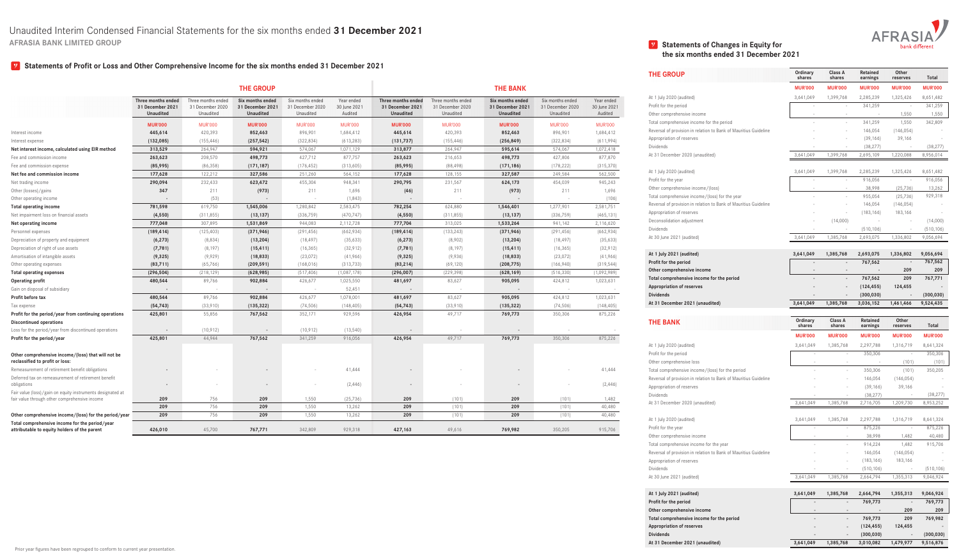

### **Statements of Profit or Loss and Other Comprehensive Income for the six months ended 31 December 2021**

## **V** Statements of Changes in Equity for **the six months ended 31 December 2021**

|                                                                                                             |                    |                    |                            |                  |                |                    |                    |                  |                  |                | <b>THE GROUP</b>                                                 | Ordinary<br>shares | Class A<br>shares   | Retained<br>earnings | Other<br>reserves | Total                       |
|-------------------------------------------------------------------------------------------------------------|--------------------|--------------------|----------------------------|------------------|----------------|--------------------|--------------------|------------------|------------------|----------------|------------------------------------------------------------------|--------------------|---------------------|----------------------|-------------------|-----------------------------|
|                                                                                                             |                    |                    | <b>THE GROUP</b>           |                  |                |                    |                    | <b>THE BANK</b>  |                  |                |                                                                  | <b>MUR'000</b>     | <b>MUR'000</b>      | <b>MUR'000</b>       | <b>MUR'000</b>    | <b>MUR'000</b>              |
|                                                                                                             | Three months ended | Three months ended | Six months ended           | Six months ended | Year ended     | Three months ended | Three months ended | Six months ended | Six months ended | Year ended     | At 1 July 2020 (audited)                                         | 3,641,049          | 1,399,768           | 2,285,239            | 1,325,426         | 8,651,482                   |
|                                                                                                             | 31 December 2021   | 31 December 2020   | 31 December 2021           | 1 December 2020  | 30 June 2021   | 31 December 2021   | 31 December 2020   | 31 December 2021 | 31 December 2020 | 30 June 2021   | Profit for the period                                            |                    |                     | 341,259              |                   | 341,259                     |
|                                                                                                             | <b>Unaudited</b>   | Unaudited          | <b>Unaudited</b>           | Unaudited        | Audited        | <b>Unaudited</b>   | Unaudited          | <b>Unaudited</b> | Unaudited        | Audited        | Other comprehensive income                                       |                    |                     |                      | 1,550             | 1,550                       |
|                                                                                                             | <b>MUR'000</b>     | <b>MUR'000</b>     | <b>MUR'000</b>             | <b>MUR'000</b>   | <b>MUR'000</b> | <b>MUR'000</b>     | <b>MUR'000</b>     | <b>MUR'000</b>   | <b>MUR'000</b>   | <b>MUR'000</b> | Total comprehensive income for the period                        | $\sim$             |                     | 341,259              | 1,550             | 342,809                     |
| Interest income                                                                                             | 445,614            | 420,393            | 852,463                    | 896,901          | 1,684,412      | 445,614            | 420,393            | 852,463          | 896,901          | 1,684,412      | Reversal of provision in relation to Bank of Mauritius Guideline |                    |                     | 146,054              | (146, 054)        |                             |
| Interest expense                                                                                            | (132,085)          | (155, 446)         | (257, 542)                 | (322, 834)       | (613, 283)     | (131,737)          | (155, 446)         | (256, 849)       | (322, 834)       | (611,994)      | Appropriation of reserves                                        |                    |                     | (39, 166)            | 39,166            | $\sim$                      |
| Net interest income, calculated using EIR method                                                            | 313,529            | 264,947            | 594,921                    | 574,067          | 1,071,129      | 313,877            | 264,947            | 595,614          | 574,067          | 1,072,418      | <b>Dividends</b>                                                 |                    |                     | (38, 277)            |                   | (38, 277)                   |
| Fee and commission income                                                                                   | 263,623            | 208,570            | 498,773                    | 427,712          | 877,757        | 263,623            | 216,653            | 498,773          | 427,806          | 877,870        | At 31 December 2020 (unaudited)                                  | 3,641,049          | 1,399,768           | 2,695,109            | 1,220,088         | 8,956,014                   |
| Fee and commission expense                                                                                  | (85,995)           | (86, 358)          | (171, 187)                 | (176, 452)       | (313,605)      | (85,995)           | (88, 498)          | (171, 186)       | (178, 222)       | (315, 370)     |                                                                  |                    |                     |                      |                   |                             |
| Net fee and commission income                                                                               | 177,628            | 122,212            | 327,586                    | 251,260          | 564,152        | 177,628            | 128,155            | 327,587          | 249,584          | 562,500        | At 1 July 2020 (audited)                                         | 3,641,049          | 1,399,768           | 2,285,239            | 1,325,426         | 8,651,482                   |
| Net trading income                                                                                          | 290,094            | 232,433            | 623,472                    | 455,304          | 948,341        | 290,795            | 231,567            | 624,173          | 454,039          | 945,243        | Profit for the year                                              |                    |                     | 916,056              |                   | 916,056                     |
| Other (losses)/gains                                                                                        | 347                | 211                | (973)                      | 211              | 1,696          | (46)               | 211                | (973)            | 211              | 1,696          | Other comprehensive income/(loss)                                | $\sim 10^{-11}$    | $\sim$              | 38,998               | (25,736)          | 13,262                      |
| Other operating income                                                                                      | $\sim$             | (53)               | $\sim$ $-$                 | $\sim$ $ \sim$   | (1, 843)       | $\sim$             |                    | $\sim$           | $\sim$           | (106)          | Total comprehensive income/(loss) for the year                   |                    |                     | 955,054              | (25,736)          | 929,318                     |
| <b>Total operating income</b>                                                                               | 781,598            | 619,750            | 1,545,006                  | 1,280,842        | 2,583,475      | 782,254            | 624,880            | 1,546,401        | 1,277,901        | 2,581,751      | Reversal of provision in relation to Bank of Mauritius Guideline |                    |                     | 146,054              | (146, 054)        |                             |
| Net impairment loss on financial assets                                                                     | (4, 550)           | (311, 855)         | (13, 137)                  | (336,759)        | (470, 747)     | (4, 550)           | (311, 855)         | (13, 137)        | (336,759)        | (465, 131)     | Appropriation of reserves                                        |                    |                     | (183, 166)           | 183,166           |                             |
| Net operating income                                                                                        | 777,048            | 307,895            | 1,531,869                  | 944,083          | 2,112,728      | 777,704            | 313,025            | 1,533,264        | 941,142          | 2,116,620      | Deconsolidation adjustment                                       |                    | (14,000)            |                      |                   | (14,000)                    |
| Personnel expenses                                                                                          | (189, 414)         | (125, 403)         | (371, 946)                 | (291, 456)       | (662, 934)     | (189, 414)         | (133, 243)         | (371, 946)       | (291, 456)       | (662, 934)     | Dividends                                                        |                    |                     | (510, 106)           |                   | (510, 106)                  |
| Depreciation of property and equipment                                                                      | (6, 273)           | (8,834)            | (13, 204)                  | (18, 497)        | (35, 633)      | (6, 273)           | (8,902)            | (13, 204)        | (18, 497)        | (35, 633)      | At 30 June 2021 (audited)                                        | 3,641,049          | 1,385,768           | 2,693,075            | 1,336,802         | 9,056,694                   |
| Depreciation of right of use assets                                                                         | (7,781)            | (8, 197)           | (15, 411)                  | (16, 365)        | (32, 912)      | (7,781)            | (8, 197)           | (15, 411)        | (16, 365)        | (32, 912)      |                                                                  |                    |                     |                      |                   |                             |
| Amortisation of intangible assets                                                                           | (9, 325)           | (9,929)            | (18, 833)                  | (23, 072)        | (41,966)       | (9, 325)           | (9,936)            | (18, 833)        | (23,072)         | (41,966)       | At 1 July 2021 (audited)                                         | 3,641,049          | 1,385,768           | 2,693,075            | 1,336,802         | 9,056,694                   |
| Other operating expenses                                                                                    | (83,711)           | (65,766)           | (209, 591)                 | (168, 016)       | (313,733)      | (83, 214)          | (69, 120)          | (208, 775)       | (166, 940)       | (319, 544)     | Profit for the period                                            |                    | $\sim$              | 767,562              |                   | 767,562                     |
| <b>Total operating expenses</b>                                                                             | (296, 504)         | (218, 129)         | (628, 985)                 | (517, 406)       | (1,087,178)    | (296,007)          | (229, 398)         | (628, 169)       | (516, 330)       | (1,092,989)    | Other comprehensive income                                       | $\sim$             | $\sim$              | $\sim$               | 209               | 209                         |
| <b>Operating profit</b>                                                                                     | 480,544            | 89,766             | 902,884                    | 426,677          | 1,025,550      | 481,697            | 83,627             | 905,095          | 424,812          | 1,023,631      | Total comprehensive income for the period                        |                    |                     | 767,562              | 209               | 767,771                     |
| Gain on disposal of subsidiary                                                                              | $\sim$ $ \sim$     | $\sim$             | $\sim$ 100 $\pm$ 100 $\pm$ | $\sim$ 100 $\pm$ | 52,451         | $\sim$ $-$         | $-$                | $\sim$ $ \sim$   | $\sim$ $-$       | $\sim$ $-$     | <b>Appropriation of reserves</b>                                 |                    |                     | (124, 455)           | 124,455           |                             |
| Profit before tax                                                                                           | 480,544            | 89,766             | 902,884                    | 426,677          | 1,078,001      | 481,697            | 83,627             | 905,095          | 424,812          | 1,023,631      | <b>Dividends</b>                                                 |                    |                     | (300, 030)           |                   | (300, 030)                  |
| Tax expense                                                                                                 | (54, 743)          | (33,910)           | (135, 322)                 | (74, 506)        | (148, 405)     | (54, 743)          | (33,910)           | (135, 322)       | (74, 506)        | (148, 405)     | At 31 December 2021 (unaudited)                                  | 3,641,049          | 1,385,768           | 3,036,152            | 1,461,466         | 9,524,435                   |
| Profit for the period/year from continuing operations                                                       | 425,801            | 55,856             | 767,562                    | 352,171          | 929,596        | 426,954            | 49,717             | 769,773          | 350,306          | 875,226        |                                                                  |                    |                     |                      |                   |                             |
| <b>Discontinued operations</b>                                                                              |                    |                    |                            |                  |                |                    |                    |                  |                  |                | <b>THE BANK</b>                                                  | Ordinary           | <b>Class A</b>      | Retained             | Other             | Total                       |
| Loss for the period/year from discontinued operations                                                       | $\sim$ $-$         | (10, 912)          | $\sim$ $ \sim$             | (10, 912)        | (13, 540)      | $\sim$ 100 $\pm$   |                    | $\sim$           |                  |                |                                                                  | shares             | shares              | earnings             | reserves          |                             |
| Profit for the period/year                                                                                  | 425,801            | 44,944             | 767,562                    | 341,259          | 916,056        | 426,954            | 49,717             | 769,773          | 350,306          | 875,226        |                                                                  | <b>MUR'000</b>     | <b>MUR'000</b>      | <b>MUR'000</b>       | <b>MUR'000</b>    | <b>MUR'000</b>              |
|                                                                                                             |                    |                    |                            |                  |                |                    |                    |                  |                  |                | At 1 July 2020 (audited)                                         | 3,641,049          | 1.385.768           | 2,297,788            | 1,316,719         | 8,641,324                   |
| Other comprehensive income/(loss) that will not be                                                          |                    |                    |                            |                  |                |                    |                    |                  |                  |                | Profit for the period                                            |                    |                     | 350,306              |                   | 350,306                     |
| reclassified to profit or loss:                                                                             |                    |                    |                            |                  |                |                    |                    |                  |                  |                | Other comprehensive loss                                         | $\sim$ $-$         |                     | $\sim$               | (101)             | (101)                       |
| Remeasurement of retirement benefit obligations                                                             | $\sim$ $-$         |                    | $\sim$                     | $\sim$           | 41,444         |                    |                    | $\sim$           |                  | 41,444         | Total comprehensive income/(loss) for the period                 | $\sim$ $-$         |                     | 350,306              | (101)             | 350,205                     |
| Deferred tax on remeasurement of retirement benefit                                                         |                    |                    |                            |                  |                |                    |                    |                  |                  |                | Reversal of provision in relation to Bank of Mauritius Guideline |                    |                     | 146,054              | (146, 054)        | $\alpha \rightarrow \alpha$ |
| obligations                                                                                                 | $\sim$ $-$         | $\sim$             | $\sim$                     | $-$              | (2, 446)       |                    |                    | $\sim$           | $\sim$           | (2, 446)       | Appropriation of reserves                                        | $\sim$             |                     | (39, 166)            | 39,166            | $\sim$ $  \sim$             |
| Fair value (loss)/gain on equity instruments designated at<br>fair value through other comprehensive income | 209                | 756                | 209                        | 1,550            | (25,736)       | 209                | (101)              | 209              | (101)            | 1,482          | Dividends                                                        |                    |                     | (38, 277)            |                   | (38, 277)                   |
|                                                                                                             | 209                | 756                | 209                        | 1,550            | 13,262         | 209                | (101)              | 209              | (101)            | 40,480         | At 31 December 2020 (unaudited)                                  | 3,641,049          | 1,385,768           | 2,716,705            | 1,209,730         | 8,953,252                   |
| Other comprehensive income/(loss) for the period/year                                                       | 209                | 756                | 209                        | 1,550            | 13,262         | 209                | (101)              | 209              | (101)            | 40,480         |                                                                  |                    |                     |                      |                   |                             |
| Total comprehensive income for the period/year                                                              |                    |                    |                            |                  |                |                    |                    |                  |                  |                | At 1 July 2020 (audited)                                         | 3,641,049          | 1,385,768           | 2,297,788            | 1,316,719         | 8,641,324                   |
| attributable to equity holders of the parent                                                                | 426,010            | 45,700             | 767,771                    | 342,809          | 929,318        | 427,163            | 49,616             | 769,982          | 350,205          | 915,706        | Profit for the year                                              |                    |                     | 875,226              |                   | 875,226                     |
|                                                                                                             |                    |                    |                            |                  |                |                    |                    |                  |                  |                | Other comprehensive income                                       |                    |                     | 38,998               | 1,482             | 40,480                      |
|                                                                                                             |                    |                    |                            |                  |                |                    |                    |                  |                  |                | Total comprehensive income for the year                          | $\sim$             |                     | 914,224              | 1,482             | 915,706                     |
|                                                                                                             |                    |                    |                            |                  |                |                    |                    |                  |                  |                | Reversal of provision in relation to Bank of Mauritius Guideline |                    |                     | 146,054              | (146, 054)        | $\sim 10^{-11}$             |
|                                                                                                             |                    |                    |                            |                  |                |                    |                    |                  |                  |                | Appropriation of reserves                                        |                    |                     | (183, 166)           | 183,166           | $\sim$ $  \sim$             |
|                                                                                                             |                    |                    |                            |                  |                |                    |                    |                  |                  |                | Dividends                                                        |                    |                     | (510, 106)           |                   | (510, 106)                  |
|                                                                                                             |                    |                    |                            |                  |                |                    |                    |                  |                  |                | At 30 June 2021 (audited)                                        | 3,641,049          | 1,385,768           | 2,664,794            | 1,355,313         | 9,046,924                   |
|                                                                                                             |                    |                    |                            |                  |                |                    |                    |                  |                  |                | At 1 July 2021 (audited)                                         | 3,641,049          | 1,385,768           | 2,664,794            | 1,355,313         | 9,046,924                   |
|                                                                                                             |                    |                    |                            |                  |                |                    |                    |                  |                  |                | Profit for the period                                            |                    | $\sim$              | 769,773              |                   | 769,773                     |
|                                                                                                             |                    |                    |                            |                  |                |                    |                    |                  |                  |                | Other comprehensive income                                       | $\sim$ $ \sim$     | $\sim$              | $\sim 100$           | 209               | 209                         |
|                                                                                                             |                    |                    |                            |                  |                |                    |                    |                  |                  |                | Total comprehensive income for the period                        | $\sim$ $-$         |                     | $-769,773$           | 209               | 769,982                     |
|                                                                                                             |                    |                    |                            |                  |                |                    |                    |                  |                  |                | <b>Appropriation of reserves</b>                                 |                    |                     | (124, 455)           | 124,455           |                             |
|                                                                                                             |                    |                    |                            |                  |                |                    |                    |                  |                  |                | <b>Dividends</b>                                                 |                    |                     | (300, 030)           |                   | (300, 030)                  |
|                                                                                                             |                    |                    |                            |                  |                |                    |                    |                  |                  |                | At 31 December 2021 (unaudited)                                  |                    | 3,641,049 1,385,768 | 3,010,082            |                   | 1,479,977 9,516,876         |